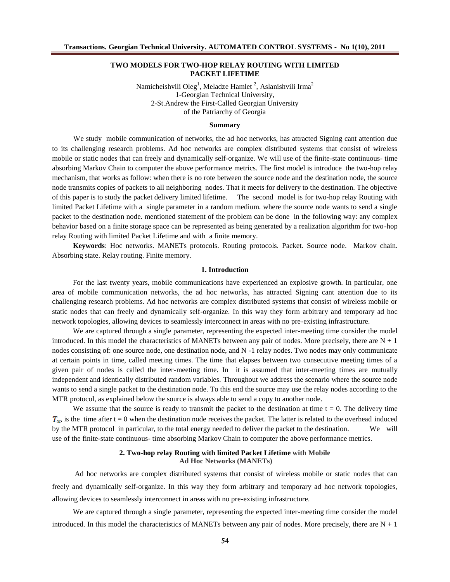# **TWO MODELS FOR TWO-HOP RELAY ROUTING WITH LIMITED PACKET LIFETIME**

Namicheishvili Oleg $^1$ , Meladze Hamlet  $^2$ , Aslanishvili Irma $^2$ 1-Georgian Technical University, 2-St.Andrew the First-Called Georgian University of the Patriarchy of Georgia

#### **Summary**

We study mobile communication of networks, the ad hoc networks, has attracted Signing cant attention due to its challenging research problems. Ad hoc networks are complex distributed systems that consist of wireless mobile or static nodes that can freely and dynamically self-organize. We will use of the finite-state continuous- time absorbing Markov Chain to computer the above performance metrics. The first model is introduce the two-hop relay mechanism, that works as follow: when there is no rote between the source node and the destination node, the source node transmits copies of packets to all neighboring nodes. That it meets for delivery to the destination. The objective of this paper is to study the packet delivery limited lifetime. The second model is for two-hop relay Routing with limited Packet Lifetime with a single parameter in a random medium. where the source node wants to send a single packet to the destination node. mentioned statement of the problem can be done in the following way: any complex behavior based on a finite storage space can be represented as being generated by a realization algorithm for two-hop relay Routing with limited Packet Lifetime and with a finite memory.

**Keywords**: Hoc networks. MANETs protocols. Routing protocols. Packet. Source node. Markov chain. Absorbing state. Relay routing. Finite memory.

#### **1. Introduction**

For the last twenty years, mobile communications have experienced an explosive growth. In particular, one area of mobile communication networks, the ad hoc networks, has attracted Signing cant attention due to its challenging research problems. Ad hoc networks are complex distributed systems that consist of wireless mobile or static nodes that can freely and dynamically self-organize. In this way they form arbitrary and temporary ad hoc network topologies, allowing devices to seamlessly interconnect in areas with no pre-existing infrastructure.

We are captured through a single parameter, representing the expected inter-meeting time consider the model introduced. In this model the characteristics of MANETs between any pair of nodes. More precisely, there are  $N + 1$ nodes consisting of: one source node, one destination node, and N -1 relay nodes. Two nodes may only communicate at certain points in time, called meeting times. The time that elapses between two consecutive meeting times of a given pair of nodes is called the inter-meeting time. In it is assumed that inter-meeting times are mutually independent and identically distributed random variables. Throughout we address the scenario where the source node wants to send a single packet to the destination node. To this end the source may use the relay nodes according to the MTR protocol, as explained below the source is always able to send a copy to another node.

We assume that the source is ready to transmit the packet to the destination at time  $t = 0$ . The delivery time  $T_{\infty}$  is the time after t = 0 when the destination node receives the packet. The latter is related to the overhead induced by the MTR protocol in particular, to the total energy needed to deliver the packet to the destination. We will use of the finite-state continuous- time absorbing Markov Chain to computer the above performance metrics.

## **2. Two-hop relay Routing with limited Packet Lifetime with Mobile Ad Hoc Networks (MANETs)**

Ad hoc networks are complex distributed systems that consist of wireless mobile or static nodes that can freely and dynamically self-organize. In this way they form arbitrary and temporary ad hoc network topologies, allowing devices to seamlessly interconnect in areas with no pre-existing infrastructure.

We are captured through a single parameter, representing the expected inter-meeting time consider the model introduced. In this model the characteristics of MANETs between any pair of nodes. More precisely, there are  $N + 1$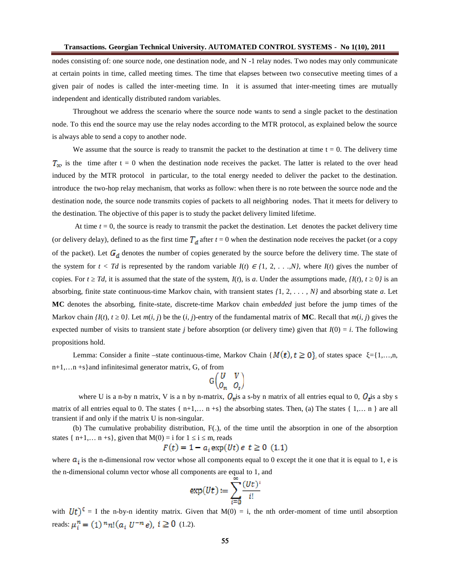nodes consisting of: one source node, one destination node, and N -1 relay nodes. Two nodes may only communicate at certain points in time, called meeting times. The time that elapses between two consecutive meeting times of a given pair of nodes is called the inter-meeting time. In it is assumed that inter-meeting times are mutually independent and identically distributed random variables.

Throughout we address the scenario where the source node wants to send a single packet to the destination node. To this end the source may use the relay nodes according to the MTR protocol, as explained below the source is always able to send a copy to another node.

We assume that the source is ready to transmit the packet to the destination at time  $t = 0$ . The delivery time  $T_{\infty}$  is the time after t = 0 when the destination node receives the packet. The latter is related to the over head induced by the MTR protocol in particular, to the total energy needed to deliver the packet to the destination. introduce the two-hop relay mechanism, that works as follow: when there is no rote between the source node and the destination node, the source node transmits copies of packets to all neighboring nodes. That it meets for delivery to the destination. The objective of this paper is to study the packet delivery limited lifetime.

At time  $t = 0$ , the source is ready to transmit the packet the destination. Let denotes the packet delivery time (or delivery delay), defined to as the first time  $T_d$  after  $t = 0$  when the destination node receives the packet (or a copy of the packet). Let  $G_d$  denotes the number of copies generated by the source before the delivery time. The state of the system for  $t < Td$  is represented by the random variable  $I(t) \in \{1, 2, \ldots, N\}$ , where  $I(t)$  gives the number of copies. For *t Td*, it is assumed that the state of the system,  $I(t)$ , is *a*. Under the assumptions made,  $\{I(t), t \quad 0\}$  is an absorbing, finite state continuous-time Markov chain, with transient states *{*1*,* 2*, . . . , N}* and absorbing state *a*. Let **MC** denotes the absorbing, finite-state, discrete-time Markov chain *embedded* just before the jump times of the Markov chain  $I(t)$ ,  $t \neq 0$ . Let  $m(i, j)$  be the  $(i, j)$ -entry of the fundamental matrix of **MC**. Recall that  $m(i, j)$  gives the expected number of visits to transient state *j* before absorption (or delivery time) given that  $I(0) = i$ . The following propositions hold.

Lemma: Consider a finite –state continuous-time, Markov Chain { $M(t)$ ,  $t \ge 0$ }, of states space ={1,...,n, n+1,…n +s}and infinitesimal generator matrix, G, of from

$$
G\begin{pmatrix}U&V\\O_n&O_s\end{pmatrix}
$$

where U is a n-by n matrix, V is a n by n-matrix,  $Q_m$  is a s-by n matrix of all entries equal to 0,  $Q_s$  is a sby s matrix of all entries equal to 0. The states  $\{n+1,..., n+s\}$  the absorbing states. Then, (a) The states  $\{1,..., n\}$  are all transient if and only if the matrix U is non-singular.

(b) The cumulative probability distribution, F(.), of the time until the absorption in one of the absorption states  $\{ n+1,..., n+s \}$ , given that  $M(0) = i$  for  $1 \quad i \quad m$ , reads

$$
F(t) = 1 - a_i \exp(Ut) e t \ge 0
$$
 (1.1)

where  $a_i$  is the n-dimensional row vector whose all components equal to 0 except the it one that it is equal to 1, e is the n-dimensional column vector whose all components are equal to 1, and

$$
\exp(Ut) := \sum_{i=0}^{\infty} \frac{(Ut)^i}{i!}
$$

with  $Ut)^{0} = I$  the n-by-n identity matrix. Given that  $M(0) = i$ , the nth order-moment of time until absorption reads:  $\mu_i^n = (1)^n n! (a_i U^{-n} e), i \ge 0$  (1.2).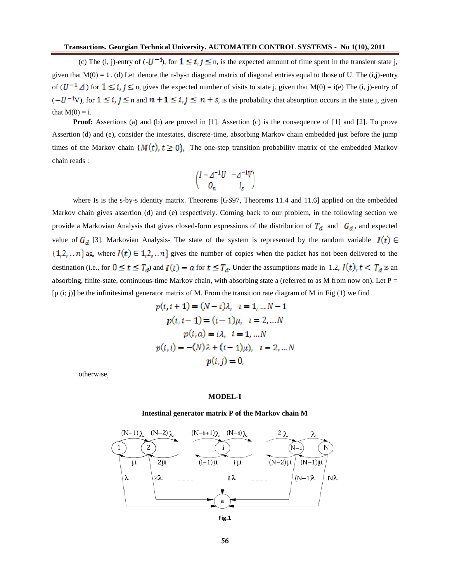(c) The (i, j)-entry of  $(-U^{-1})$ , for  $1 \le i, j \le n$ , is the expected amount of time spent in the transient state j, given that  $M(0) = i$ . (d) Let denote the n-by-n diagonal matrix of diagonal entries equal to those of U. The (i,j)-entry of  $(U^{-1} \Delta)$  for  $1 \le i, j \le n$ , gives the expected number of visits to state j, given that  $M(0) = i(e)$  The (i, j)-entry of  $(-U^{-1}V)$ , for  $1 \le i, j \le n$  and  $n + 1 \le i, j \le n + s$ , is the probability that absorption occurs in the state j, given that  $M(0) = i$ .

**Proof:** Assertions (a) and (b) are proved in [1]. Assertion (c) is the consequence of [1] and [2]. To prove Assertion (d) and (e), consider the intestates, discrete-time, absorbing Markov chain embedded just before the jump times of the Markov chain  $\{M(t), t \geq 0\}$ , The one-step transition probability matrix of the embedded Markov chain reads :

$$
\begin{pmatrix}\nI - \Delta^{-1}U & -\Delta^{-1}V \\
O_n & I_s\n\end{pmatrix}
$$

where Is is the s-by-s identity matrix. Theorems [GS97, Theorems 11.4 and 11.6] applied on the embedded Markov chain gives assertion (d) and (e) respectively. Coming back to our problem, in the following section we provide a Markovian Analysis that gives closed-form expressions of the distribution of  $T_d$  and  $G_d$ , and expected value of  $G_d$  [3]. Markovian Analysis- The state of the system is represented by the random variable  $I(t)$   $\in$  $\{1,2,\ldots n\}$  ag, where  $I(t) \in 1,2,\ldots n\}$  gives the number of copies when the packet has not been delivered to the destination (i.e., for  $0 \le t \le T_d$ ) and  $I(t) = a$  for  $t \le T_d$ . Under the assumptions made in 1.2,  $I(t)$ ,  $t < T_d$  is an absorbing, finite-state, continuous-time Markov chain, with absorbing state a (referred to as M from now on). Let  $P =$  $[p (i; j)]$  be the infinitesimal generator matrix of M. From the transition rate diagram of M in Fig  $(1)$  we find

$$
p(i, i + 1) = (N - i)\lambda, \quad i = 1, \dots N - 1
$$

$$
p(i, i - 1) = (i - 1)\mu, \quad i = 2, \dots N
$$

$$
p(i, a) = i\lambda, \quad i = 1, \dots N
$$

$$
p(i, i) = -(N)\lambda + (i - 1)\mu), \quad i = 2, \dots N
$$

$$
p(i, j) = 0,
$$

otherwise,

## **MODEL-I**

#### **Intestinal generator matrix P of the Markov chain M**

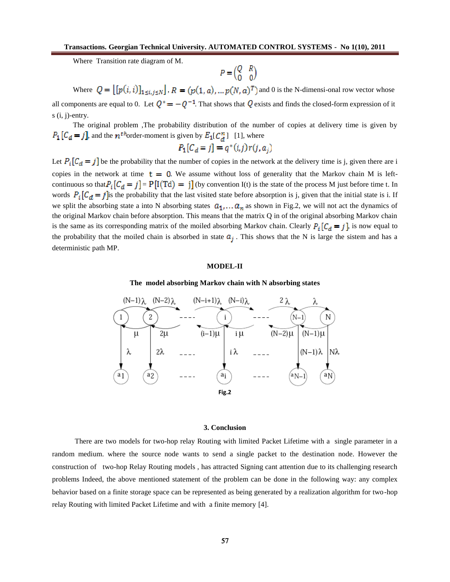Where Transition rate diagram of M.

$$
P = \begin{pmatrix} Q & R \\ 0 & 0 \end{pmatrix}
$$

Where  $Q = [[p(i, i)]_{1 \le i, j \le N}]$ ,  $R = (p(1, a), \dots p(N, a)^{T})$  and 0 is the N-dimensi-onal row vector whose all components are equal to 0. Let  $Q^* = -Q^{-1}$ . That shows that Q exists and finds the closed-form expression of it  $s(i, j)$ -entry.

The original problem ,The probability distribution of the number of copies at delivery time is given by  $P_1[C_d = j]$ , and the  $n<sup>th</sup>$ order-moment is given by  $E_1[C_d^n]$  [1], where

$$
P_1[C_d=j] = q^*(i,j)r(j,a_j)
$$

Let  $P_i [C_d = j]$  be the probability that the number of copies in the network at the delivery time is j, given there are i copies in the network at time  $t = 0$ . We assume without loss of generality that the Markov chain M is leftcontinuous so that  $P_i [C_d = j] = P[I(Td) = j]$  (by convention I(t) is the state of the process M just before time t. In words  $P_i [C_d = j]$  is the probability that the last visited state before absorption is j, given that the initial state is i. If we split the absorbing state a into N absorbing states  $a_1, \ldots, a_n$  as shown in Fig.2, we will not act the dynamics of the original Markov chain before absorption. This means that the matrix Q in of the original absorbing Markov chain is the same as its corresponding matrix of the moiled absorbing Markov chain. Clearly  $P_i [C_d = j]$ , is now equal to the probability that the moiled chain is absorbed in state  $a_j$ . This shows that the N is large the sistem and has a deterministic path MP.

### **MODEL-II**

#### **The model absorbing Markov chain with N absorbing states**



#### **3. Conclusion**

There are two models for two-hop relay Routing with limited Packet Lifetime with a single parameter in a random medium. where the source node wants to send a single packet to the destination node. However the construction of two-hop Relay Routing models , has attracted Signing cant attention due to its challenging research problems Indeed, the above mentioned statement of the problem can be done in the following way: any complex behavior based on a finite storage space can be represented as being generated by a realization algorithm for two-hop relay Routing with limited Packet Lifetime and with a finite memory [4].